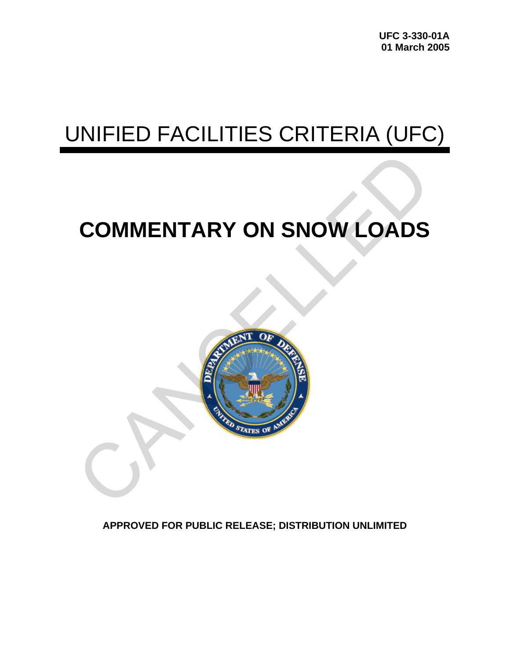# UNIFIED FACILITIES CRITERIA (UFC)

# **COMMENTARY ON SNOW LOADS**



**APPROVED FOR PUBLIC RELEASE; DISTRIBUTION UNLIMITED**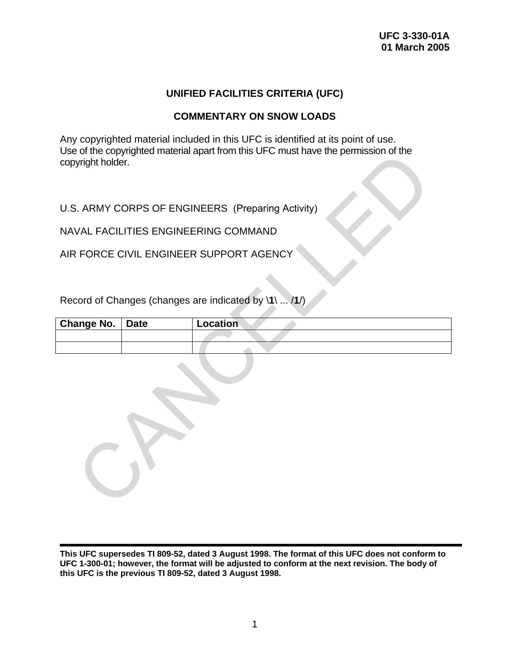### **UNIFIED FACILITIES CRITERIA (UFC)**

### **COMMENTARY ON SNOW LOADS**

Any copyrighted material included in this UFC is identified at its point of use. Use of the copyrighted material apart from this UFC must have the permission of the copyright holder.

| copyright holder.                                     |                                                   | USE OF the copyrighted material apart from this OFC must have the permission of the |  |  |  |  |
|-------------------------------------------------------|---------------------------------------------------|-------------------------------------------------------------------------------------|--|--|--|--|
|                                                       | U.S. ARMY CORPS OF ENGINEERS (Preparing Activity) |                                                                                     |  |  |  |  |
|                                                       |                                                   | NAVAL FACILITIES ENGINEERING COMMAND                                                |  |  |  |  |
|                                                       |                                                   | AIR FORCE CIVIL ENGINEER SUPPORT AGENCY                                             |  |  |  |  |
|                                                       |                                                   |                                                                                     |  |  |  |  |
| Record of Changes (changes are indicated by \1\  /1/) |                                                   |                                                                                     |  |  |  |  |
| <b>Change No.</b>                                     | <b>Date</b>                                       | Location                                                                            |  |  |  |  |
|                                                       |                                                   |                                                                                     |  |  |  |  |
|                                                       |                                                   |                                                                                     |  |  |  |  |
|                                                       |                                                   |                                                                                     |  |  |  |  |

**This UFC supersedes TI 809-52, dated 3 August 1998. The format of this UFC does not conform to UFC 1-300-01; however, the format will be adjusted to conform at the next revision. The body of this UFC is the previous TI 809-52, dated 3 August 1998.**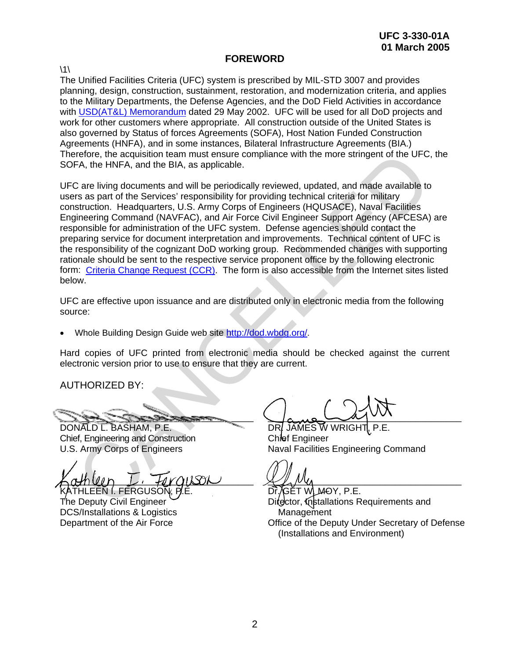### **FOREWORD**

 $\backslash$ 1 $\backslash$ 

The Unified Facilities Criteria (UFC) system is prescribed by MIL-STD 3007 and provides planning, design, construction, sustainment, restoration, and modernization criteria, and applies to the Military Departments, the Defense Agencies, and the DoD Field Activities in accordance with [USD\(AT&L\) Memorandum](http://www.wbdg.org/pdfs/ufc_implementation.pdf) dated 29 May 2002. UFC will be used for all DoD projects and work for other customers where appropriate. All construction outside of the United States is also governed by Status of forces Agreements (SOFA), Host Nation Funded Construction Agreements (HNFA), and in some instances, Bilateral Infrastructure Agreements (BIA.) Therefore, the acquisition team must ensure compliance with the more stringent of the UFC, the SOFA, the HNFA, and the BIA, as applicable.

UFC are living documents and will be periodically reviewed, updated, and made available to users as part of the Services' responsibility for providing technical criteria for military construction. Headquarters, U.S. Army Corps of Engineers (HQUSACE), Naval Facilities Engineering Command (NAVFAC), and Air Force Civil Engineer Support Agency (AFCESA) are responsible for administration of the UFC system. Defense agencies should contact the preparing service for document interpretation and improvements. Technical content of UFC is the responsibility of the cognizant DoD working group. Recommended changes with supporting rationale should be sent to the respective service proponent office by the following electronic form: Criteria Change Request (CCR). The form is also accessible from the Internet sites listed below. refore, the acquisition team must ensure compliance with the more stringent of the UFC,<br>
FA, the HNFA, and the BIA, as applicable.<br>
2 are living documents and will be periodically reviewed, updated, and made available to<br>

UFC are effective upon issuance and are distributed only in electronic media from the following source:

• Whole Building Design Guide web site http://dod.wbdg.org/.

Hard copies of UFC printed from electronic media should be checked against the current electronic version prior to use to ensure that they are current.

AUTHORIZED BY:

 $z_{\rm max}$  ,

DONALD L. BASHAM, P.E. Chief, Engineering and Construction U.S. Army Corps of Engineers

 $\kappa$ athuin  $L$ , foraison ATHLEEN I. FERGUSO $\widetilde{N}$ .

The Deputy Civil Engineer DCS/Installations & Logistics Department of the Air Force

 $\sqrt{a}$ 

DR. JAMES W WRIGHT Chief Engineer Naval Facilities Engineering Command

 $\mathcal{L}$   $\mu$   $\nu$ 

Dr̃, ⁄̄GĚT WLM-OY, P.E. Difector, Installations Requirements and **Management** Office of the Deputy Under Secretary of Defense (Installations and Environment)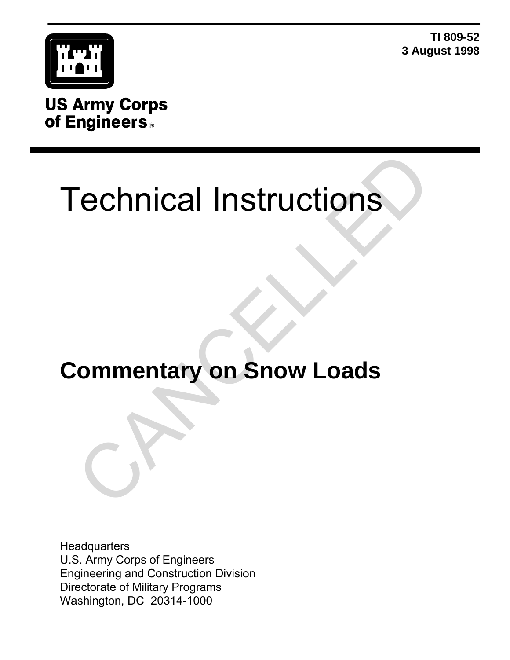

**TI 809-52 3 August 1998**

## **US Army Corps** of Engineers.

# Technical Instructions Technical Instructions

# **Commentary on Snow Loads**

**Headquarters** U.S. Army Corps of Engineers Engineering and Construction Division Directorate of Military Programs Washington, DC 20314-1000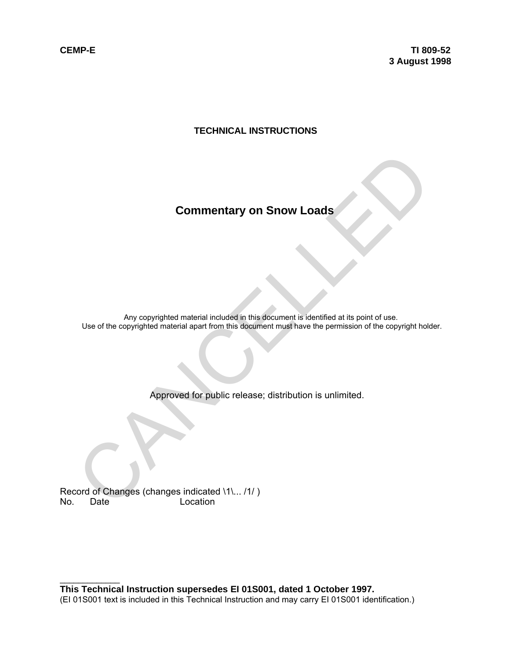**TECHNICAL INSTRUCTIONS**

### **Commentary on Snow Loads**

Any copyrighted material included in this document is identified at its point of use. Use of the copyrighted material apart from this document must have the permission of the copyright holder. Commentary on Snow Loads<br>
Any copyrighted material included in this document is identified at its point of use.<br>
Use of the copyrighted material apart from this document must have the permission of the copyright hold<br>
Appr

Approved for public release; distribution is unlimited.

Record of Changes (changes indicated \1\... /1/)<br>No. Date Location Location

\_\_\_\_\_\_\_\_\_\_\_\_\_

**This Technical Instruction supersedes EI 01S001, dated 1 October 1997.** (EI 01S001 text is included in this Technical Instruction and may carry EI 01S001 identification.)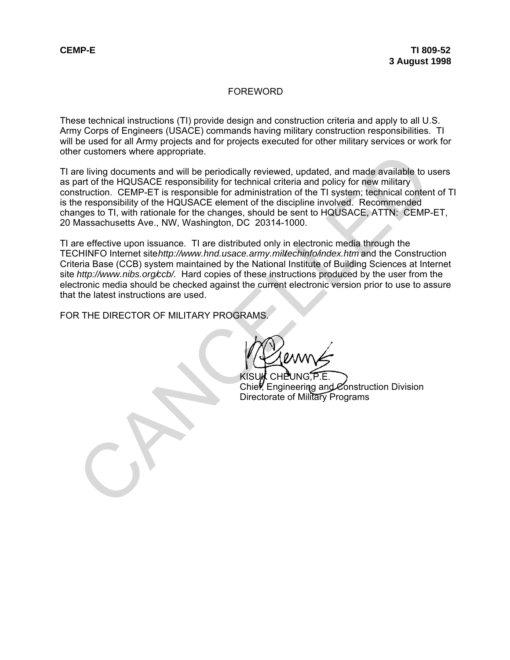### FOREWORD

These technical instructions (TI) provide design and construction criteria and apply to all U.S. Army Corps of Engineers (USACE) commands having military construction responsibilities. TI will be used for all Army projects and for projects executed for other military services or work for other customers where appropriate.

TI are living documents and will be periodically reviewed, updated, and made available to users as part of the HQUSACE responsibility for technical criteria and policy for new military construction. CEMP-ET is responsible for administration of the TI system; technical content of TI is the responsibility of the HQUSACE element of the discipline involved. Recommended changes to TI, with rationale for the changes, should be sent to HQUSACE, ATTN: CEMP-ET, 20 Massachusetts Ave., NW, Washington, DC 20314-1000.

TI are effective upon issuance. TI are distributed only in electronic media through the TECHINFO Internet site *http://www.hnd.usace.army.mil/techinfo/index.htm* and the Construction Criteria Base (CCB) system maintained by the National Institute of Building Sciences at Internet site *http://www.nibs.org/ccb/.* Hard copies of these instructions produced by the user from the electronic media should be checked against the current electronic version prior to use to assure that the latest instructions are used. er cuisioners where appropriate.<br>
The periodically reviewed, updated, and made available to under thing documents and will be periodically for technical criteria and policy for new military<br>
struction. CEMP-ET is responsib

FOR THE DIRECTOR OF MILITARY PROGRAMS.

KISU*K* CHEUNG, P.E. Chief, Engineering and Construction Division Directorate of Military Programs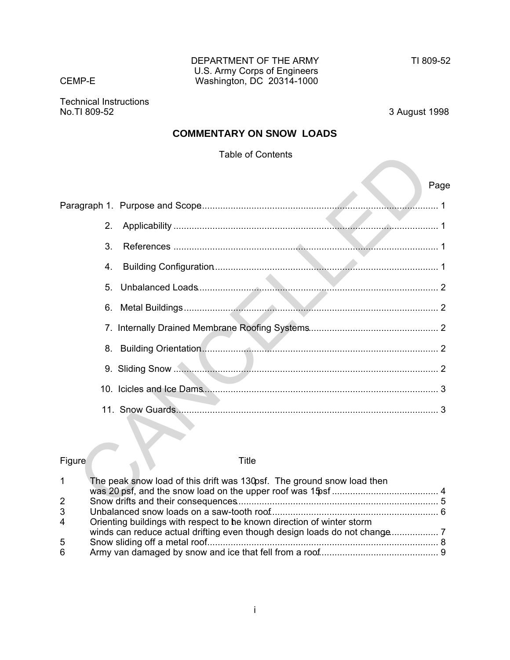Page

DEPARTMENT OF THE ARMY TI 809-52 U.S. Army Corps of Engineers CEMP-E Washington, DC 20314-1000

Technical Instructions<br>No.TI 809-52

3 August 1998

### **COMMENTARY ON SNOW LOADS**

Table of Contents

|        |    | <b>Table of Contents</b>                                               |  |
|--------|----|------------------------------------------------------------------------|--|
|        |    | Page                                                                   |  |
|        |    |                                                                        |  |
|        | 2. |                                                                        |  |
|        | 3. |                                                                        |  |
|        | 4. |                                                                        |  |
|        | 5. |                                                                        |  |
|        | 6. |                                                                        |  |
|        |    |                                                                        |  |
|        | 8. |                                                                        |  |
|        |    |                                                                        |  |
|        |    |                                                                        |  |
|        |    |                                                                        |  |
|        |    |                                                                        |  |
| Figure |    | <b>Title</b>                                                           |  |
| 1<br>2 |    | The peak snow load of this drift was 130psf. The ground snow load then |  |

### Figure Title

| $\mathbf{1}$   | The peak snow load of this drift was 130psf. The ground snow load then |  |
|----------------|------------------------------------------------------------------------|--|
|                |                                                                        |  |
| $\mathbf{2}$   |                                                                        |  |
| 3              |                                                                        |  |
| $\overline{4}$ | Orienting buildings with respect to he known direction of winter storm |  |
|                |                                                                        |  |
| 5              |                                                                        |  |
| 6              |                                                                        |  |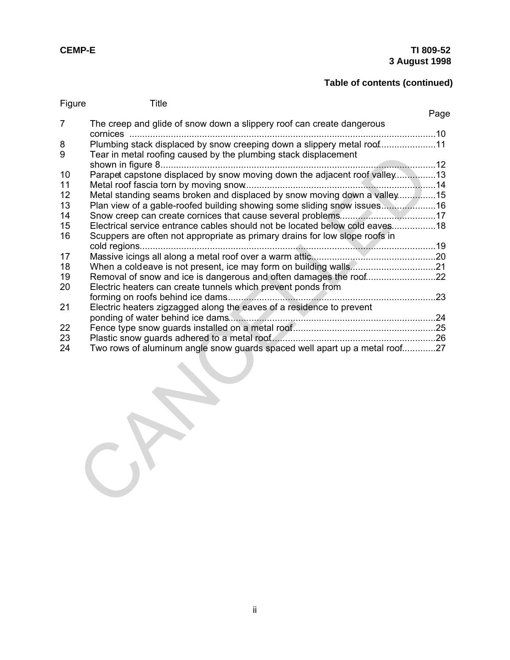### **Table of contents (continued)**

| Figure         | Title                                                                                                                                                      |      |
|----------------|------------------------------------------------------------------------------------------------------------------------------------------------------------|------|
| $\overline{7}$ | The creep and glide of snow down a slippery roof can create dangerous                                                                                      | Page |
| 8<br>9         | Plumbing stack displaced by snow creeping down a slippery metal roof11<br>Tear in metal roofing caused by the plumbing stack displacement                  |      |
| 10<br>11       | Parapet capstone displaced by snow moving down the adjacent roof valley13                                                                                  |      |
| 12<br>13       | Metal standing seams broken and displaced by snow moving down a valley15<br>Plan view of a gable-roofed building showing some sliding snow issues16        |      |
| 14<br>15<br>16 | Electrical service entrance cables should not be located below cold eaves18<br>Scuppers are often not appropriate as primary drains for low slope roofs in |      |
| 17             |                                                                                                                                                            |      |
| 18<br>19<br>20 | Removal of snow and ice is dangerous and often damages the roof22<br>Electric heaters can create tunnels which prevent ponds from                          |      |
| 21             | Electric heaters zigzagged along the eaves of a residence to prevent                                                                                       |      |
| 22<br>23       |                                                                                                                                                            |      |
| 24             | Two rows of aluminum angle snow guards spaced well apart up a metal roof27                                                                                 |      |
|                |                                                                                                                                                            |      |
|                |                                                                                                                                                            |      |
|                |                                                                                                                                                            |      |
|                |                                                                                                                                                            |      |
|                |                                                                                                                                                            |      |
|                |                                                                                                                                                            |      |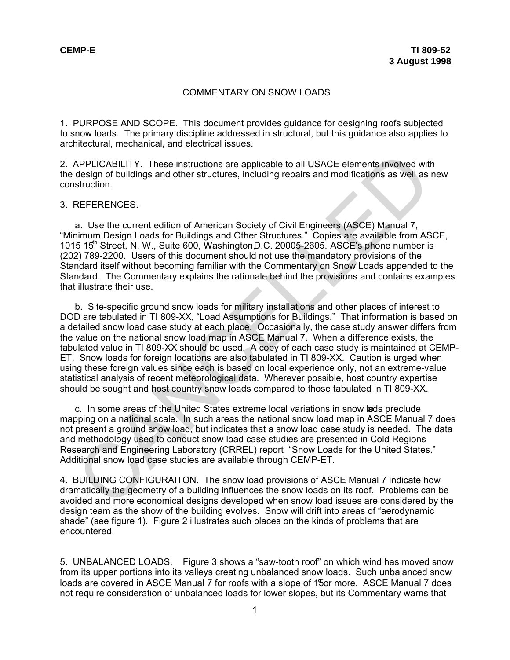### COMMENTARY ON SNOW LOADS

1. PURPOSE AND SCOPE. This document provides guidance for designing roofs subjected to snow loads. The primary discipline addressed in structural, but this guidance also applies to architectural, mechanical, and electrical issues.

2. APPLICABILITY. These instructions are applicable to all USACE elements involved with the design of buildings and other structures, including repairs and modifications as well as new construction.

### 3. REFERENCES.

a. Use the current edition of American Society of Civil Engineers (ASCE) Manual 7, "Minimum Design Loads for Buildings and Other Structures." Copies are available from ASCE, 1015 15<sup>th</sup> Street, N. W., Suite 600, WashingtonD.C. 20005-2605. ASCE's phone number is (202) 789-2200. Users of this document should not use the mandatory provisions of the Standard itself without becoming familiar with the Commentary on Snow Loads appended to the Standard. The Commentary explains the rationale behind the provisions and contains examples that illustrate their use.

b. Site-specific ground snow loads for military installations and other places of interest to DOD are tabulated in TI 809-XX, "Load Assumptions for Buildings." That information is based on a detailed snow load case study at each place. Occasionally, the case study answer differs from the value on the national snow load map in ASCE Manual 7. When a difference exists, the tabulated value in TI 809-XX should be used. A copy of each case study is maintained at CEMP-ET. Snow loads for foreign locations are also tabulated in TI 809-XX. Caution is urged when using these foreign values since each is based on local experience only, not an extreme-value statistical analysis of recent meteorological data. Wherever possible, host country expertise should be sought and host country snow loads compared to those tabulated in TI 809-XX. APPLICABILITY. These instructions are applicable to all USACE elements involved with<br>design of buildings and other structures, including repairs and modifications as well as<br>struction.<br>Struction.<br>Struction of American Soci

c. In some areas of the United States extreme local variations in snow lads preclude mapping on a national scale. In such areas the national snow load map in ASCE Manual 7 does not present a ground snow load, but indicates that a snow load case study is needed. The data and methodology used to conduct snow load case studies are presented in Cold Regions Research and Engineering Laboratory (CRREL) report "Snow Loads for the United States." Additional snow load case studies are available through CEMP-ET.

4. BUILDING CONFIGURAITON. The snow load provisions of ASCE Manual 7 indicate how dramatically the geometry of a building influences the snow loads on its roof. Problems can be avoided and more economical designs developed when snow load issues are considered by the design team as the show of the building evolves. Snow will drift into areas of "aerodynamic shade" (see figure 1). Figure 2 illustrates such places on the kinds of problems that are encountered.

5. UNBALANCED LOADS. Figure 3 shows a "saw-tooth roof" on which wind has moved snow from its upper portions into its valleys creating unbalanced snow loads. Such unbalanced snow loads are covered in ASCE Manual 7 for roofs with a slope of 15° or more. ASCE Manual 7 does not require consideration of unbalanced loads for lower slopes, but its Commentary warns that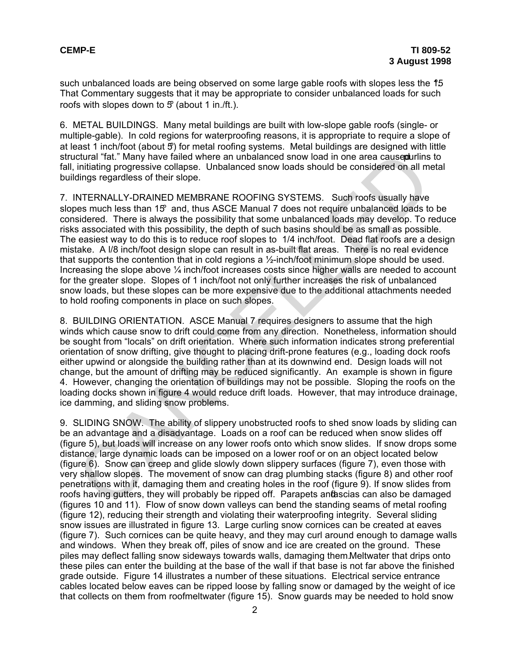such unbalanced loads are being observed on some large gable roofs with slopes less the 15°. That Commentary suggests that it may be appropriate to consider unbalanced loads for such roofs with slopes down to  $\mathcal{F}$  (about 1 in./ft.).

6. METAL BUILDINGS. Many metal buildings are built with low-slope gable roofs (single- or multiple-gable). In cold regions for waterproofing reasons, it is appropriate to require a slope of at least 1 inch/foot (about 5) for metal roofing systems. Metal buildings are designed with little structural "fat." Many have failed where an unbalanced snow load in one area cause purlins to fall, initiating progressive collapse. Unbalanced snow loads should be considered on all metal buildings regardless of their slope.

7. INTERNALLY-DRAINED MEMBRANE ROOFING SYSTEMS. Such roofs usually have slopes much less than 15° and, thus ASCE Manual 7 does not require unbalanced loads to be considered. There is always the possibility that some unbalanced loads may develop. To reduce risks associated with this possibility, the depth of such basins should be as small as possible. The easiest way to do this is to reduce roof slopes to 1/4 inch/foot. Dead flat roofs are a design mistake. A l/8 inch/foot design slope can result in as-built flat areas. There is no real evidence that supports the contention that in cold regions a ½-inch/foot minimum slope should be used. Increasing the slope above ¼ inch/foot increases costs since higher walls are needed to account for the greater slope. Slopes of 1 inch/foot not only further increases the risk of unbalanced snow loads, but these slopes can be more expensive due to the additional attachments needed to hold roofing components in place on such slopes. citural "tat." Many have failed where an unbalanced snow load in one area causepturilins<br>initiating progressive collapse. Unbalanced snow loads should be considered on all m<br>dings regardless of their slope.<br><br>Considers smuc

8. BUILDING ORIENTATION. ASCE Manual 7 requires designers to assume that the high winds which cause snow to drift could come from any direction. Nonetheless, information should be sought from "locals" on drift orientation. Where such information indicates strong preferential orientation of snow drifting, give thought to placing drift-prone features (e.g., loading dock roofs either upwind or alongside the building rather than at its downwind end. Design loads will not change, but the amount of drifting may be reduced significantly. An example is shown in figure 4. However, changing the orientation of buildings may not be possible. Sloping the roofs on the loading docks shown in figure 4 would reduce drift loads. However, that may introduce drainage, ice damming, and sliding snow problems.

9. SLIDING SNOW. The ability of slippery unobstructed roofs to shed snow loads by sliding can be an advantage and a disadvantage. Loads on a roof can be reduced when snow slides off (figure 5), but loads will increase on any lower roofs onto which snow slides. If snow drops some distance, large dynamic loads can be imposed on a lower roof or on an object located below (figure 6). Snow can creep and glide slowly down slippery surfaces (figure 7), even those with very shallow slopes. The movement of snow can drag plumbing stacks (figure 8) and other roof penetrations with it, damaging them and creating holes in the roof (figure 9). If snow slides from roofs having gutters, they will probably be ripped off. Parapets ant ascias can also be damaged (figures 10 and 11). Flow of snow down valleys can bend the standing seams of metal roofing (figure 12), reducing their strength and violating their waterproofing integrity. Several sliding snow issues are illustrated in figure 13. Large curling snow cornices can be created at eaves (figure 7). Such cornices can be quite heavy, and they may curl around enough to damage walls and windows. When they break off, piles of snow and ice are created on the ground. These piles may deflect falling snow sideways towards walls, damaging them. Meltwater that drips onto these piles can enter the building at the base of the wall if that base is not far above the finished grade outside. Figure 14 illustrates a number of these situations. Electrical service entrance cables located below eaves can be ripped loose by falling snow or damaged by the weight of ice that collects on them from roofmeltwater (figure 15). Snow guards may be needed to hold snow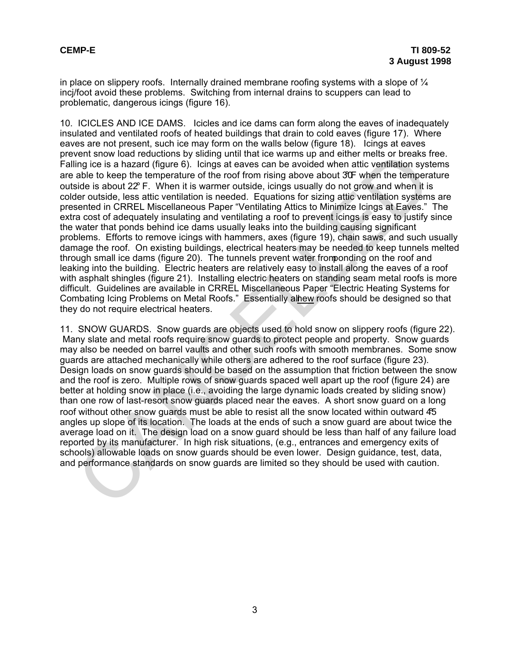in place on slippery roofs. Internally drained membrane roofing systems with a slope of  $\mathcal{U}_4$ incj/foot avoid these problems. Switching from internal drains to scuppers can lead to problematic, dangerous icings (figure 16).

10. ICICLES AND ICE DAMS. Icicles and ice dams can form along the eaves of inadequately insulated and ventilated roofs of heated buildings that drain to cold eaves (figure 17). Where eaves are not present, such ice may form on the walls below (figure 18). Icings at eaves prevent snow load reductions by sliding until that ice warms up and either melts or breaks free. Falling ice is a hazard (figure 6). Icings at eaves can be avoided when attic ventilation systems are able to keep the temperature of the roof from rising above about 30<sup>F</sup> when the temperature outside is about 22° F. When it is warmer outside, icings usually do not grow and when it is colder outside, less attic ventilation is needed. Equations for sizing attic ventilation systems are presented in CRREL Miscellaneous Paper "Ventilating Attics to Minimize Icings at Eaves." The extra cost of adequately insulating and ventilating a roof to prevent icings is easy to justify since the water that ponds behind ice dams usually leaks into the building causing significant problems. Efforts to remove icings with hammers, axes (figure 19), chain saws, and such usually damage the roof. On existing buildings, electrical heaters may be needed to keep tunnels melted through small ice dams (figure 20). The tunnels prevent water from ponding on the roof and leaking into the building. Electric heaters are relatively easy to install along the eaves of a roof with asphalt shingles (figure 21). Installing electric heaters on standing seam metal roofs is more difficult. Guidelines are available in CRREL Miscellaneous Paper "Electric Heating Systems for Combating Icing Problems on Metal Roofs." Essentially alnew roofs should be designed so that they do not require electrical heaters. went show load reductions by sliding unit) that ice warms up and either melts or breaks the solution system able to keep the temperature of the roof from rising above about 30° capital is obsed by the state is a bact of th

11. SNOW GUARDS. Snow guards are objects used to hold snow on slippery roofs (figure 22). Many slate and metal roofs require snow guards to protect people and property. Snow guards may also be needed on barrel vaults and other such roofs with smooth membranes. Some snow guards are attached mechanically while others are adhered to the roof surface (figure 23). Design loads on snow guards should be based on the assumption that friction between the snow and the roof is zero. Multiple rows of snow guards spaced well apart up the roof (figure 24) are better at holding snow in place (i.e., avoiding the large dynamic loads created by sliding snow) than one row of last-resort snow guards placed near the eaves. A short snow guard on a long roof without other snow guards must be able to resist all the snow located within outward 45° angles up slope of its location. The loads at the ends of such a snow guard are about twice the average load on it. The design load on a snow guard should be less than half of any failure load reported by its manufacturer. In high risk situations, (e.g., entrances and emergency exits of schools) allowable loads on snow guards should be even lower. Design guidance, test, data, and performance standards on snow guards are limited so they should be used with caution.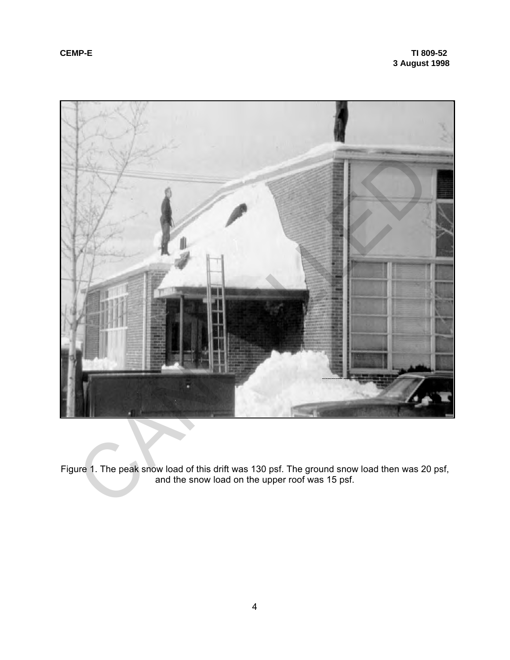

Figure 1. The peak snow load of this drift was 130 psf. The ground snow load then was 20 psf, and the snow load on the upper roof was 15 psf.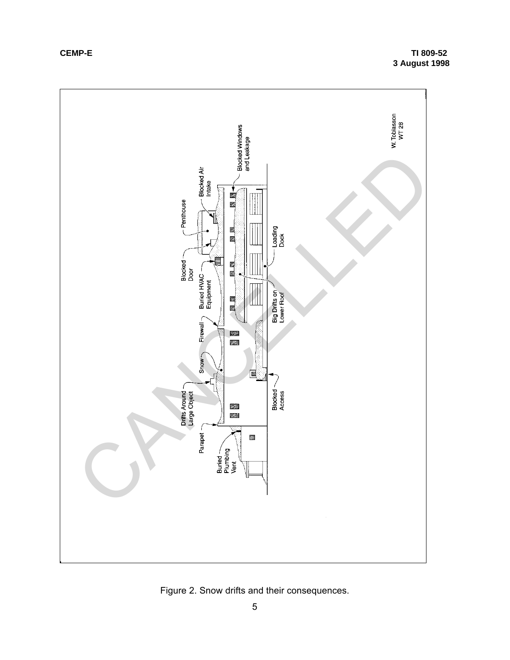

Figure 2. Snow drifts and their consequences.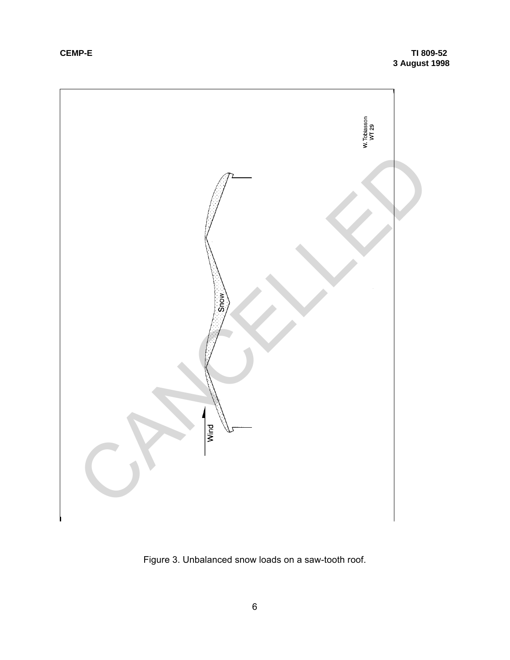

Figure 3. Unbalanced snow loads on a saw-tooth roof.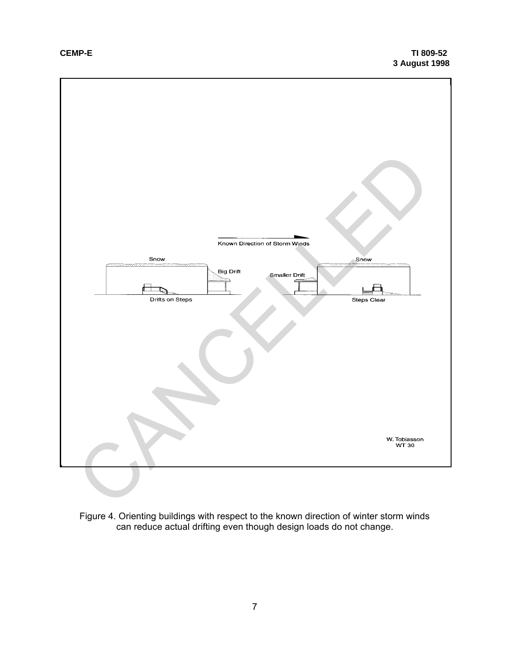

Figure 4. Orienting buildings with respect to the known direction of winter storm winds can reduce actual drifting even though design loads do not change.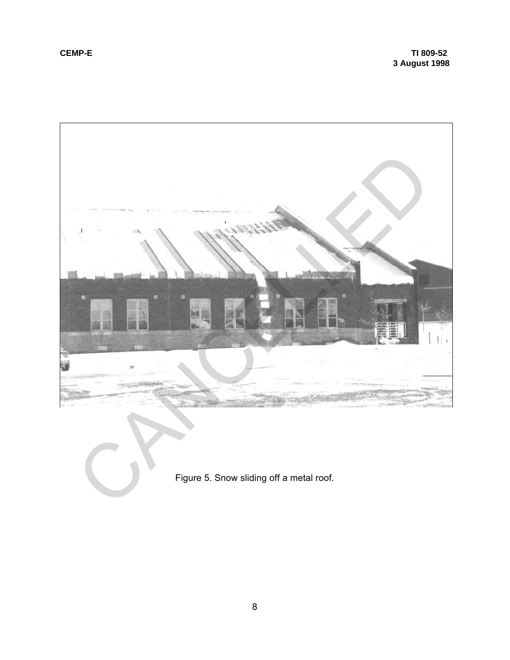

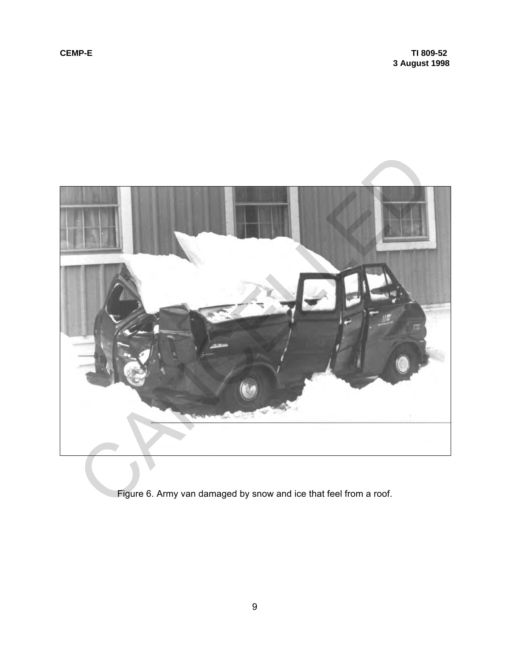

Figure 6. Army van damaged by snow and ice that feel from a roof.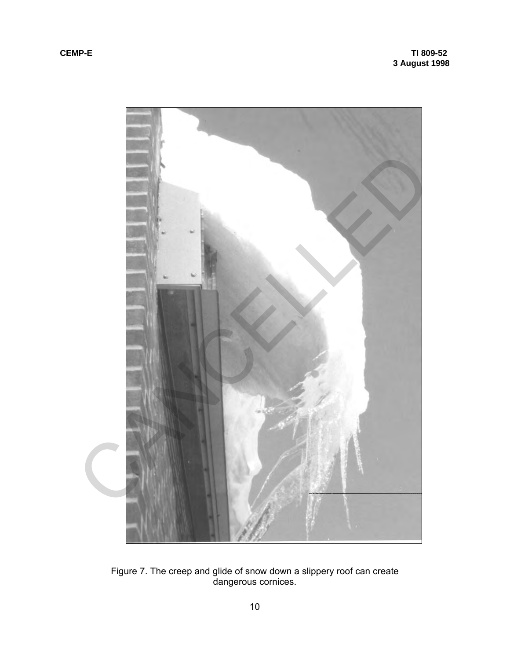

Figure 7. The creep and glide of snow down a slippery roof can create dangerous cornices.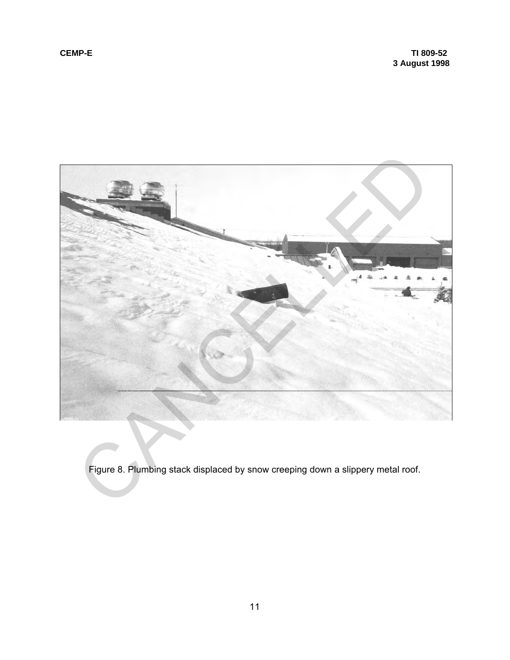**CEMP-E TI 809-52 3 August 1998**



Figure 8. Plumbing stack displaced by snow creeping down a slippery metal roof.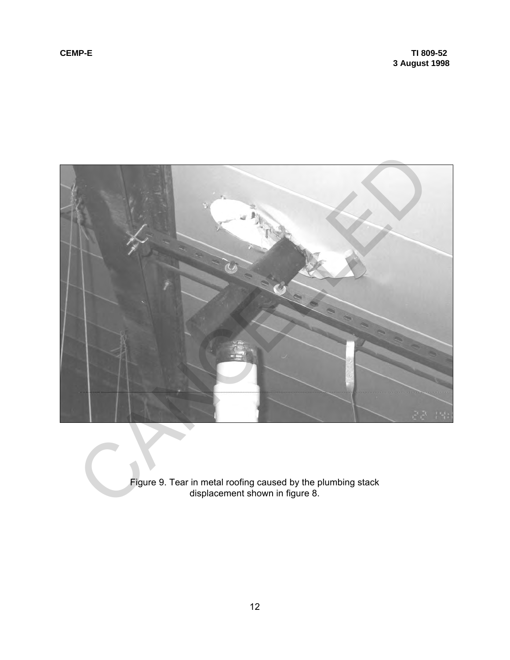

Figure 9. Tear in metal roofing caused by the plumbing stack displacement shown in figure 8.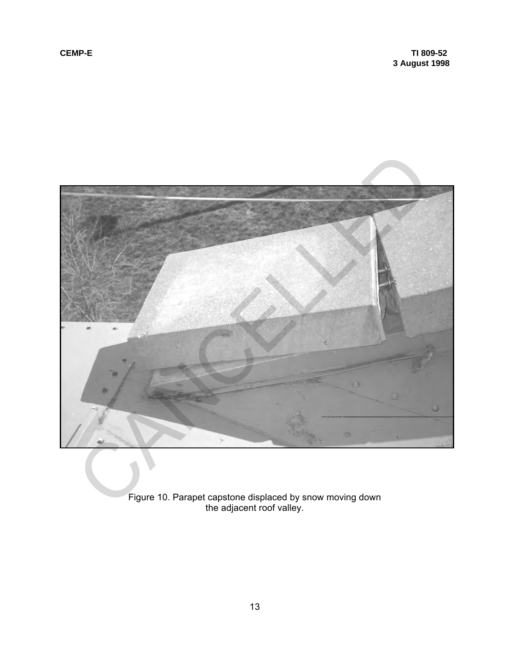

Figure 10. Parapet capstone displaced by snow moving down the adjacent roof valley.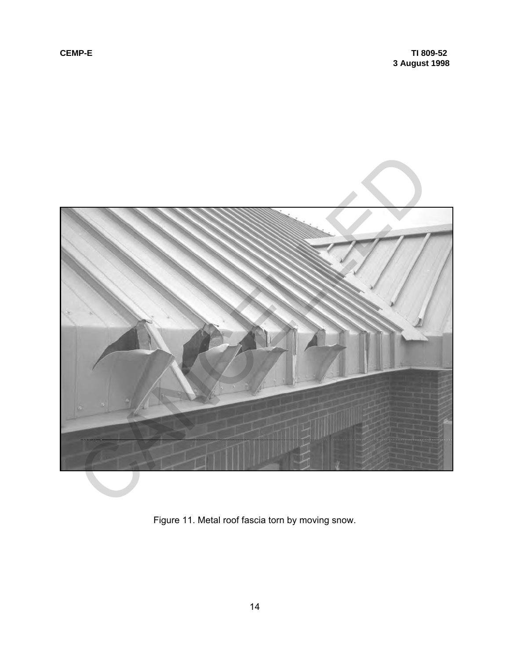

Figure 11. Metal roof fascia torn by moving snow.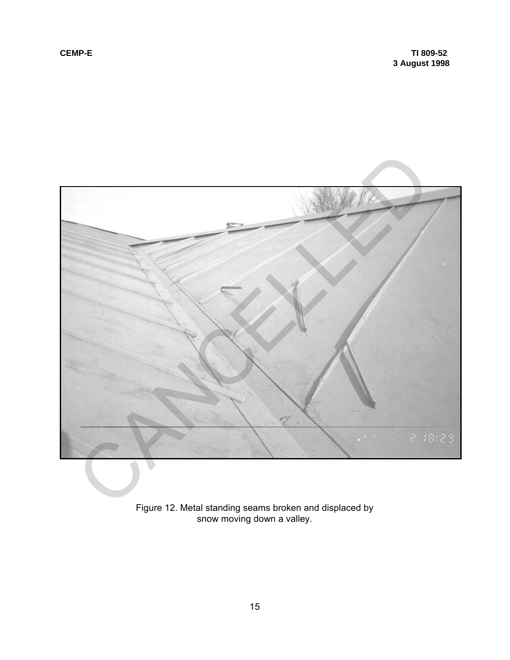

Figure 12. Metal standing seams broken and displaced by snow moving down a valley.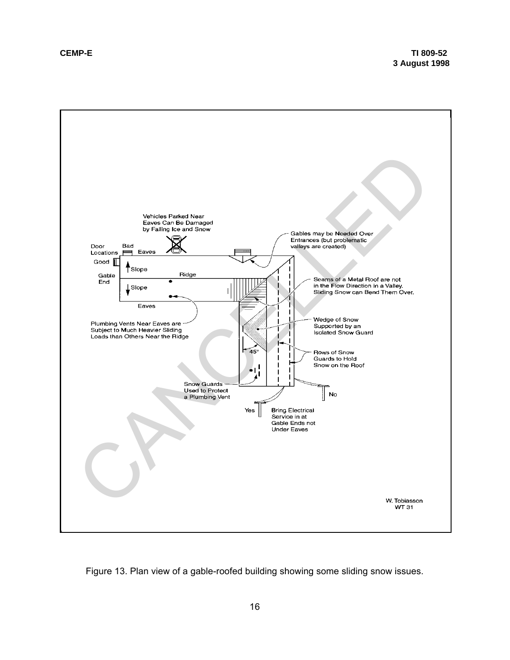![](_page_23_Figure_2.jpeg)

Figure 13. Plan view of a gable-roofed building showing some sliding snow issues.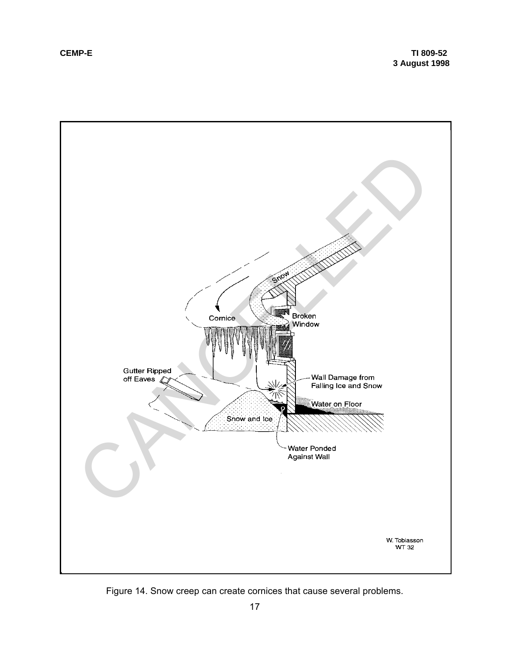![](_page_24_Figure_2.jpeg)

Figure 14. Snow creep can create cornices that cause several problems.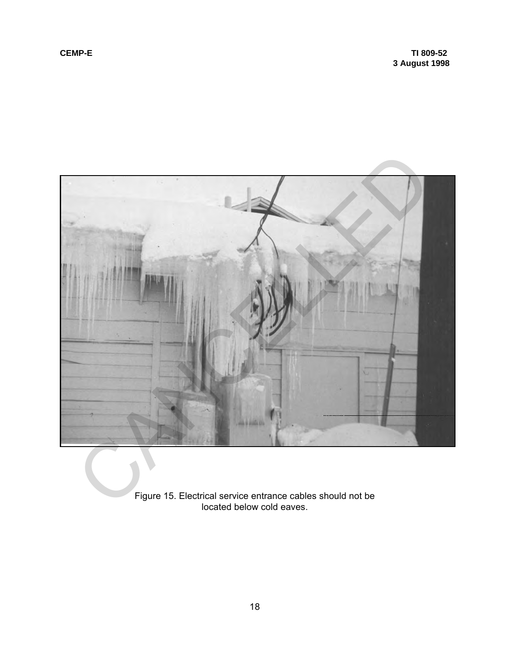![](_page_25_Picture_1.jpeg)

Figure 15. Electrical service entrance cables should not be located below cold eaves.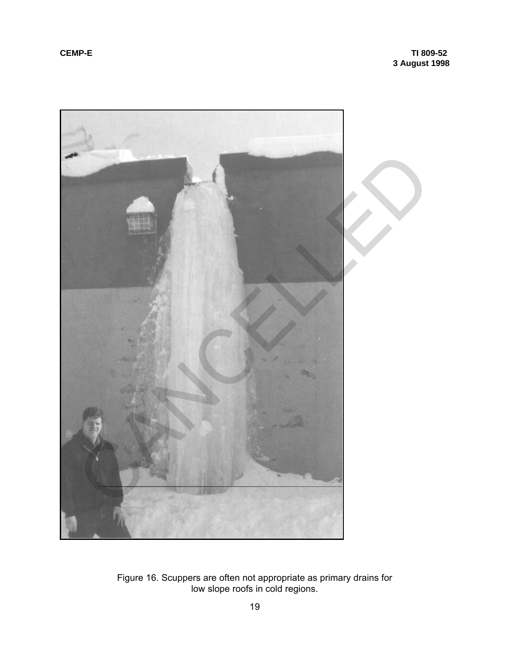![](_page_26_Picture_2.jpeg)

Figure 16. Scuppers are often not appropriate as primary drains for low slope roofs in cold regions.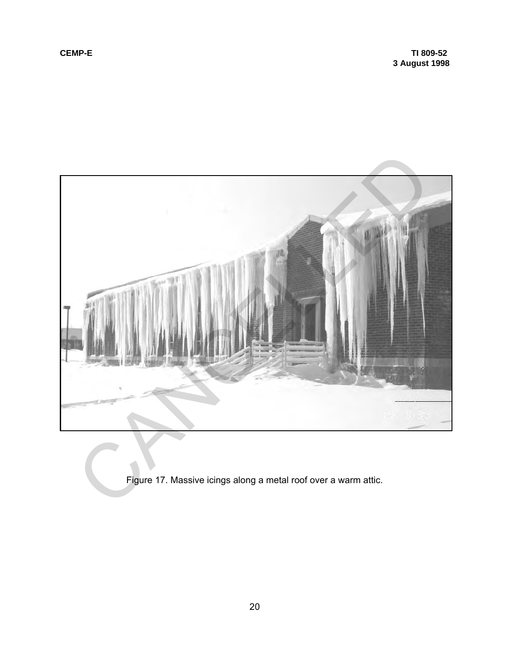**CEMP-E TI 809-52 3 August 1998**

![](_page_27_Picture_1.jpeg)

Figure 17. Massive icings along a metal roof over a warm attic.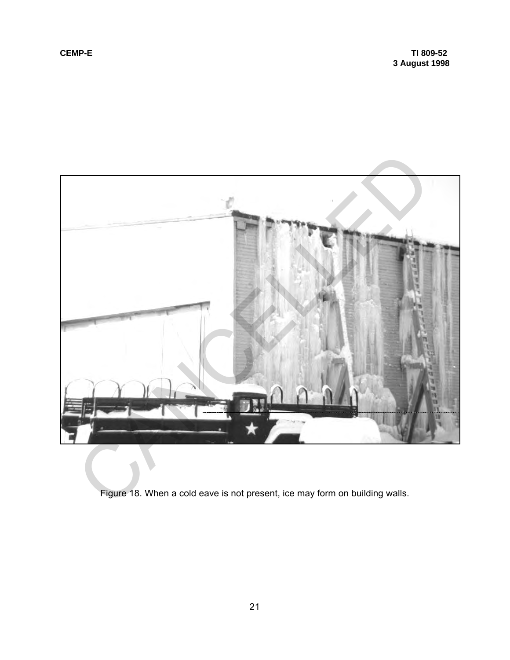![](_page_28_Picture_1.jpeg)

Figure 18. When a cold eave is not present, ice may form on building walls.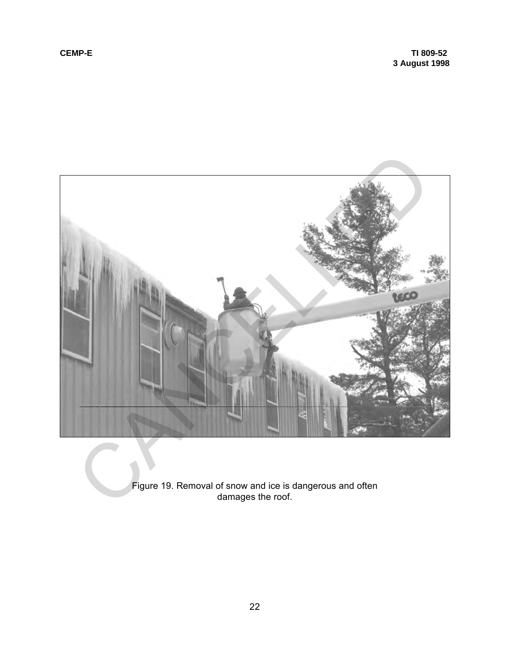![](_page_29_Picture_1.jpeg)

Figure 19. Removal of snow and ice is dangerous and often damages the roof.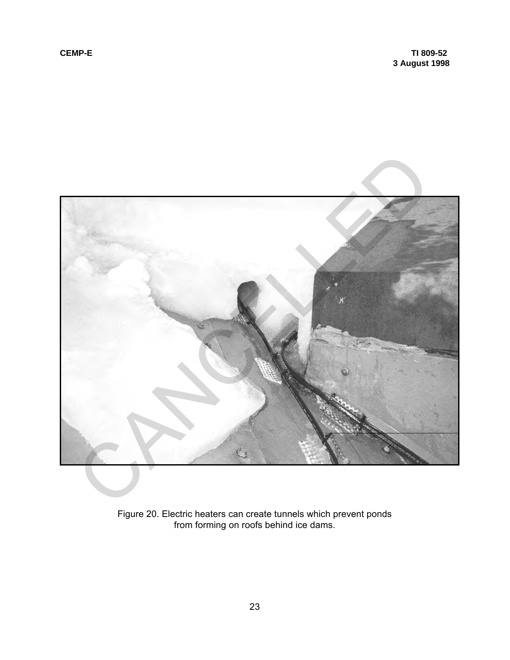**CEMP-E TI 809-52 3 August 1998**

![](_page_30_Picture_1.jpeg)

Figure 20. Electric heaters can create tunnels which prevent ponds from forming on roofs behind ice dams.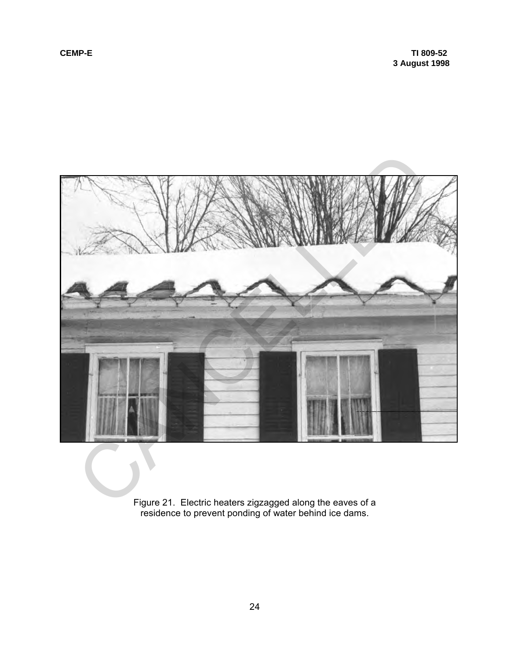![](_page_31_Picture_1.jpeg)

Figure 21. Electric heaters zigzagged along the eaves of a residence to prevent ponding of water behind ice dams.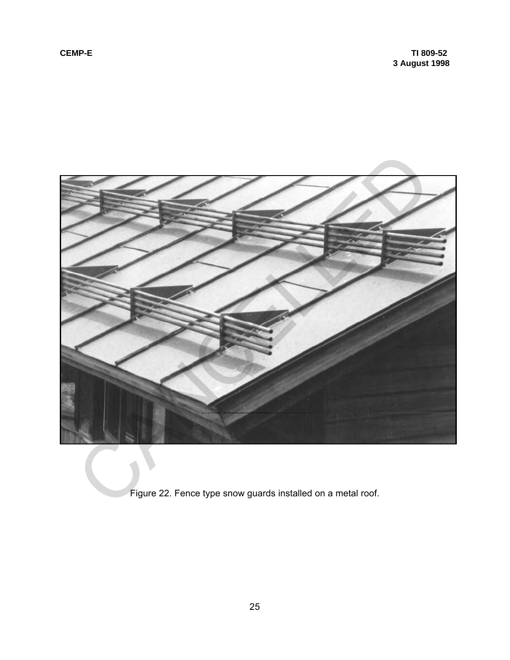**CEMP-E TI 809-52 3 August 1998**

![](_page_32_Picture_1.jpeg)

Figure 22. Fence type snow guards installed on a metal roof.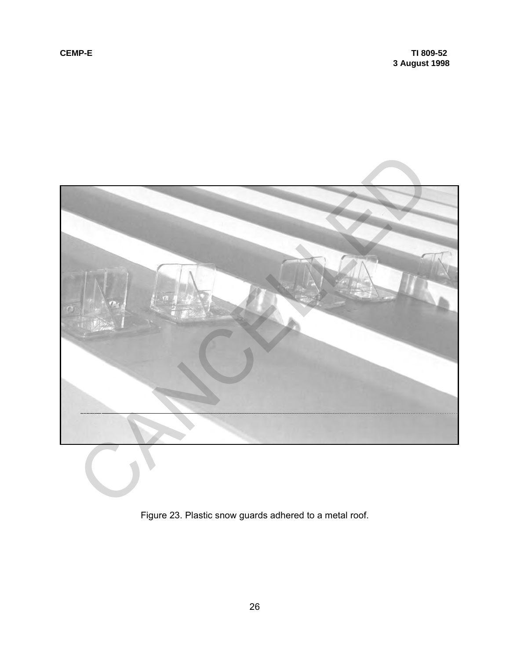![](_page_33_Picture_1.jpeg)

Figure 23. Plastic snow guards adhered to a metal roof.